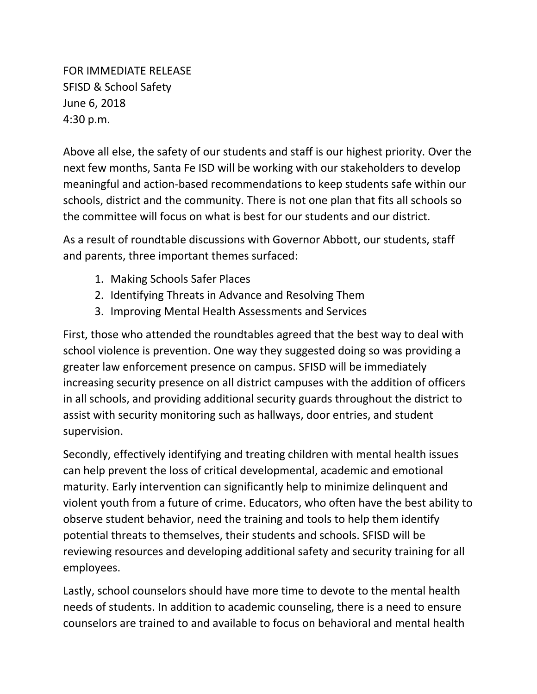FOR IMMEDIATE RELEASE SFISD & School Safety June 6, 2018 4:30 p.m.

Above all else, the safety of our students and staff is our highest priority. Over the next few months, Santa Fe ISD will be working with our stakeholders to develop meaningful and action-based recommendations to keep students safe within our schools, district and the community. There is not one plan that fits all schools so the committee will focus on what is best for our students and our district.

As a result of roundtable discussions with Governor Abbott, our students, staff and parents, three important themes surfaced:

- 1. Making Schools Safer Places
- 2. Identifying Threats in Advance and Resolving Them
- 3. Improving Mental Health Assessments and Services

First, those who attended the roundtables agreed that the best way to deal with school violence is prevention. One way they suggested doing so was providing a greater law enforcement presence on campus. SFISD will be immediately increasing security presence on all district campuses with the addition of officers in all schools, and providing additional security guards throughout the district to assist with security monitoring such as hallways, door entries, and student supervision.

Secondly, effectively identifying and treating children with mental health issues can help prevent the loss of critical developmental, academic and emotional maturity. Early intervention can significantly help to minimize delinquent and violent youth from a future of crime. Educators, who often have the best ability to observe student behavior, need the training and tools to help them identify potential threats to themselves, their students and schools. SFISD will be reviewing resources and developing additional safety and security training for all employees.

Lastly, school counselors should have more time to devote to the mental health needs of students. In addition to academic counseling, there is a need to ensure counselors are trained to and available to focus on behavioral and mental health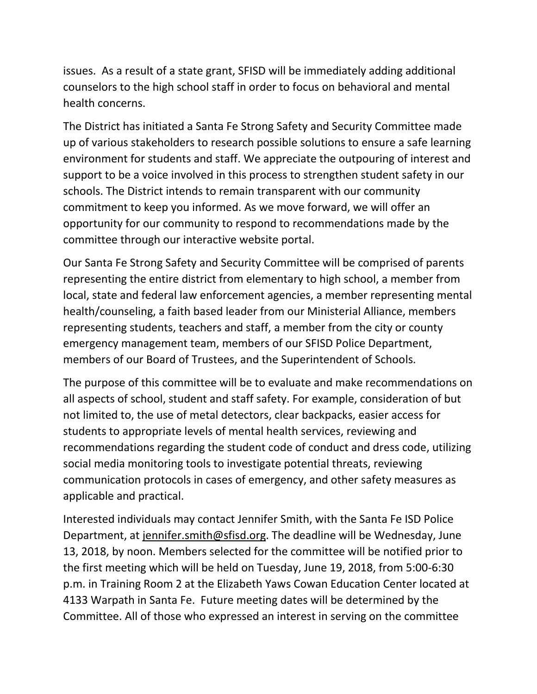issues. As a result of a state grant, SFISD will be immediately adding additional counselors to the high school staff in order to focus on behavioral and mental health concerns.

The District has initiated a Santa Fe Strong Safety and Security Committee made up of various stakeholders to research possible solutions to ensure a safe learning environment for students and staff. We appreciate the outpouring of interest and support to be a voice involved in this process to strengthen student safety in our schools. The District intends to remain transparent with our community commitment to keep you informed. As we move forward, we will offer an opportunity for our community to respond to recommendations made by the committee through our interactive website portal.

Our Santa Fe Strong Safety and Security Committee will be comprised of parents representing the entire district from elementary to high school, a member from local, state and federal law enforcement agencies, a member representing mental health/counseling, a faith based leader from our Ministerial Alliance, members representing students, teachers and staff, a member from the city or county emergency management team, members of our SFISD Police Department, members of our Board of Trustees, and the Superintendent of Schools.

The purpose of this committee will be to evaluate and make recommendations on all aspects of school, student and staff safety. For example, consideration of but not limited to, the use of metal detectors, clear backpacks, easier access for students to appropriate levels of mental health services, reviewing and recommendations regarding the student code of conduct and dress code, utilizing social media monitoring tools to investigate potential threats, reviewing communication protocols in cases of emergency, and other safety measures as applicable and practical.

Interested individuals may contact Jennifer Smith, with the Santa Fe ISD Police Department, at [jennifer.smith@sfisd.org.](mailto:jennifer.smith@sfisd.org) The deadline will be Wednesday, June 13, 2018, by noon. Members selected for the committee will be notified prior to the first meeting which will be held on Tuesday, June 19, 2018, from 5:00-6:30 p.m. in Training Room 2 at the Elizabeth Yaws Cowan Education Center located at 4133 Warpath in Santa Fe. Future meeting dates will be determined by the Committee. All of those who expressed an interest in serving on the committee